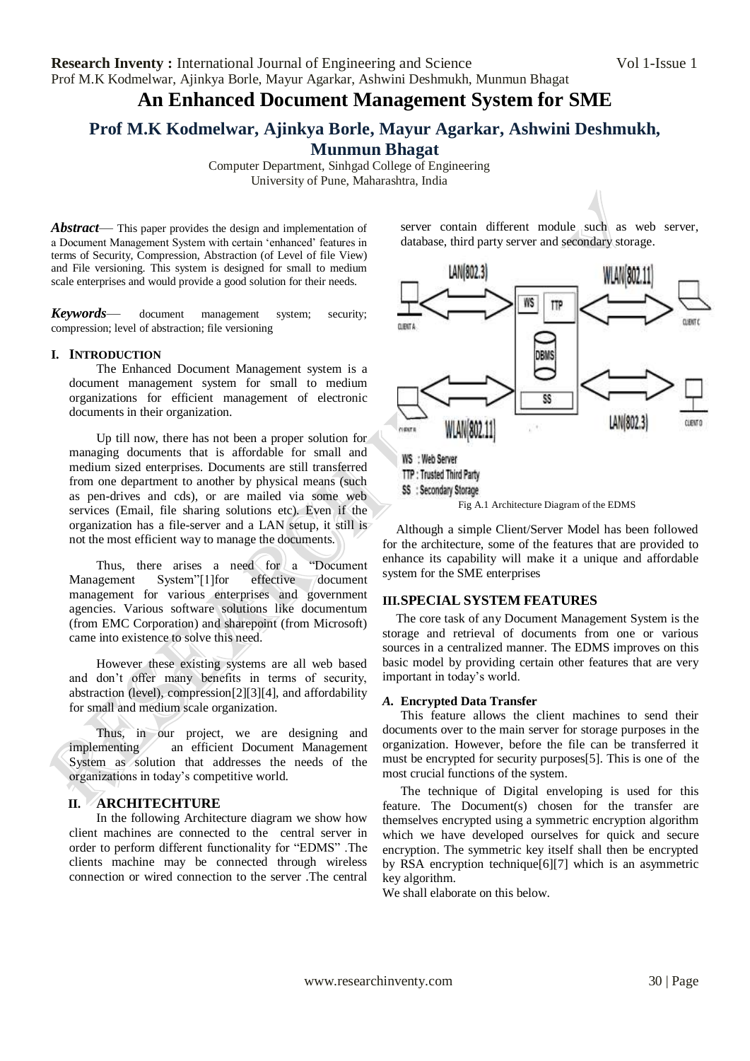**Research Inventy :** International Journal of Engineering and Science Vol 1-Issue 1 Prof M.K Kodmelwar, Ajinkya Borle, Mayur Agarkar, Ashwini Deshmukh, Munmun Bhagat

# **An Enhanced Document Management System for SME**

**Prof M.K Kodmelwar, Ajinkya Borle, Mayur Agarkar, Ashwini Deshmukh, Munmun Bhagat**

> Computer Department, Sinhgad College of Engineering University of Pune, Maharashtra, India

*Abstract*— This paper provides the design and implementation of a Document Management System with certain 'enhanced' features in terms of Security, Compression, Abstraction (of Level of file View) and File versioning. This system is designed for small to medium scale enterprises and would provide a good solution for their needs.

*Keywords*— document management system; security; compression; level of abstraction; file versioning

## **I. INTRODUCTION**

The Enhanced Document Management system is a document management system for small to medium organizations for efficient management of electronic documents in their organization.

Up till now, there has not been a proper solution for managing documents that is affordable for small and medium sized enterprises. Documents are still transferred from one department to another by physical means (such as pen-drives and cds), or are mailed via some web services (Email, file sharing solutions etc). Even if the organization has a file-server and a LAN setup, it still is not the most efficient way to manage the documents.

Thus, there arises a need for a "Document" Management System"[1]for effective document management for various enterprises and government agencies. Various software solutions like documentum (from EMC Corporation) and sharepoint (from Microsoft) came into existence to solve this need.

However these existing systems are all web based and don't offer many benefits in terms of security, abstraction (level), compression[2][3][4], and affordability for small and medium scale organization.

Thus, in our project, we are designing and implementing an efficient Document Management System as solution that addresses the needs of the organizations in today's competitive world.

# **II. ARCHITECHTURE**

In the following Architecture diagram we show how client machines are connected to the central server in order to perform different functionality for "EDMS". The clients machine may be connected through wireless connection or wired connection to the server .The central

server contain different module such as web server, database, third party server and secondary storage.



Although a simple Client/Server Model has been followed for the architecture, some of the features that are provided to enhance its capability will make it a unique and affordable system for the SME enterprises

## **III.SPECIAL SYSTEM FEATURES**

The core task of any Document Management System is the storage and retrieval of documents from one or various sources in a centralized manner. The EDMS improves on this basic model by providing certain other features that are very important in today's world.

#### *A.* **Encrypted Data Transfer**

This feature allows the client machines to send their documents over to the main server for storage purposes in the organization. However, before the file can be transferred it must be encrypted for security purposes[5]. This is one of the most crucial functions of the system.

The technique of Digital enveloping is used for this feature. The Document(s) chosen for the transfer are themselves encrypted using a symmetric encryption algorithm which we have developed ourselves for quick and secure encryption. The symmetric key itself shall then be encrypted by RSA encryption technique[6][7] which is an asymmetric key algorithm.

We shall elaborate on this below.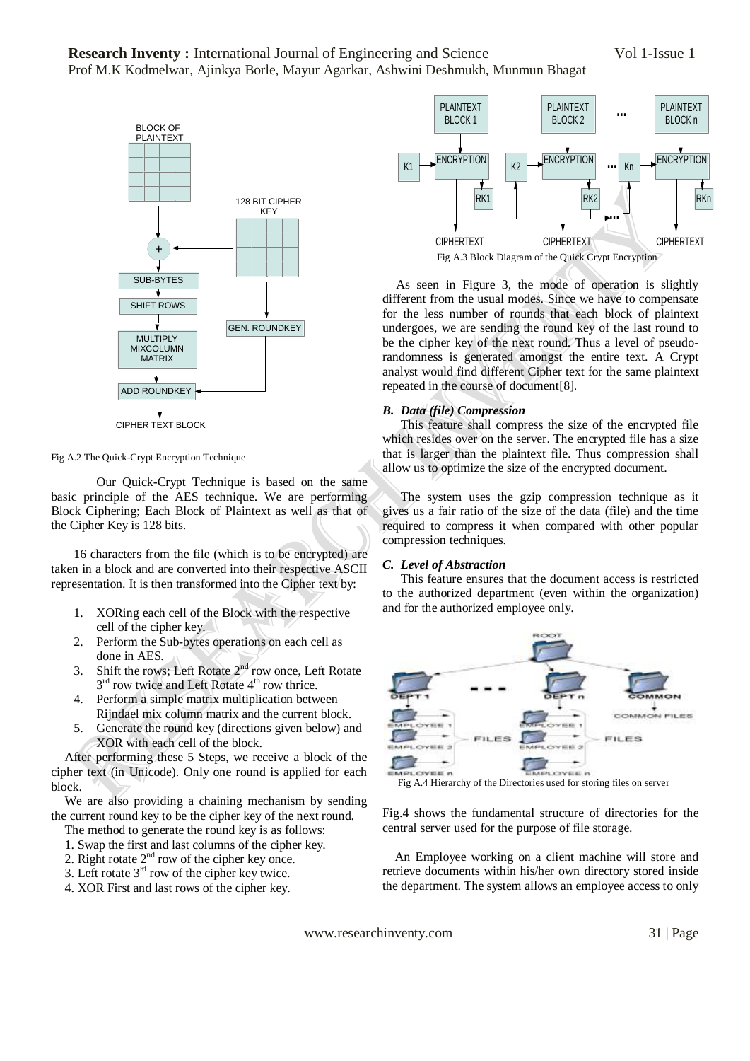

Fig A.2 The Quick-Crypt Encryption Technique

Our Quick-Crypt Technique is based on the same basic principle of the AES technique. We are performing Block Ciphering; Each Block of Plaintext as well as that of the Cipher Key is 128 bits.

16 characters from the file (which is to be encrypted) are taken in a block and are converted into their respective ASCII representation. It is then transformed into the Cipher text by:

- 1. XORing each cell of the Block with the respective cell of the cipher key.
- 2. Perform the Sub-bytes operations on each cell as done in AES.
- 3. Shift the rows: Left Rotate  $2<sup>nd</sup>$  row once, Left Rotate 3<sup>rd</sup> row twice and Left Rotate 4<sup>th</sup> row thrice.
- 4. Perform a simple matrix multiplication between Rijndael mix column matrix and the current block.
- 5. Generate the round key (directions given below) and XOR with each cell of the block.

After performing these 5 Steps, we receive a block of the cipher text (in Unicode). Only one round is applied for each block.

We are also providing a chaining mechanism by sending the current round key to be the cipher key of the next round.

- The method to generate the round key is as follows:
- 1. Swap the first and last columns of the cipher key.
- 2. Right rotate  $2<sup>nd</sup>$  row of the cipher key once.
- 3. Left rotate  $3<sup>rd</sup>$  row of the cipher key twice.
- 4. XOR First and last rows of the cipher key.



As seen in Figure 3, the mode of operation is slightly different from the usual modes. Since we have to compensate for the less number of rounds that each block of plaintext undergoes, we are sending the round key of the last round to be the cipher key of the next round. Thus a level of pseudorandomness is generated amongst the entire text. A Crypt analyst would find different Cipher text for the same plaintext repeated in the course of document[8].

## *B. Data (file) Compression*

This feature shall compress the size of the encrypted file which resides over on the server. The encrypted file has a size that is larger than the plaintext file. Thus compression shall allow us to optimize the size of the encrypted document.

The system uses the gzip compression technique as it gives us a fair ratio of the size of the data (file) and the time required to compress it when compared with other popular compression techniques.

#### *C. Level of Abstraction*

This feature ensures that the document access is restricted to the authorized department (even within the organization) and for the authorized employee only.



Fig.4 shows the fundamental structure of directories for the central server used for the purpose of file storage.

 An Employee working on a client machine will store and retrieve documents within his/her own directory stored inside the department. The system allows an employee access to only

www.researchinventy.com 31 | Page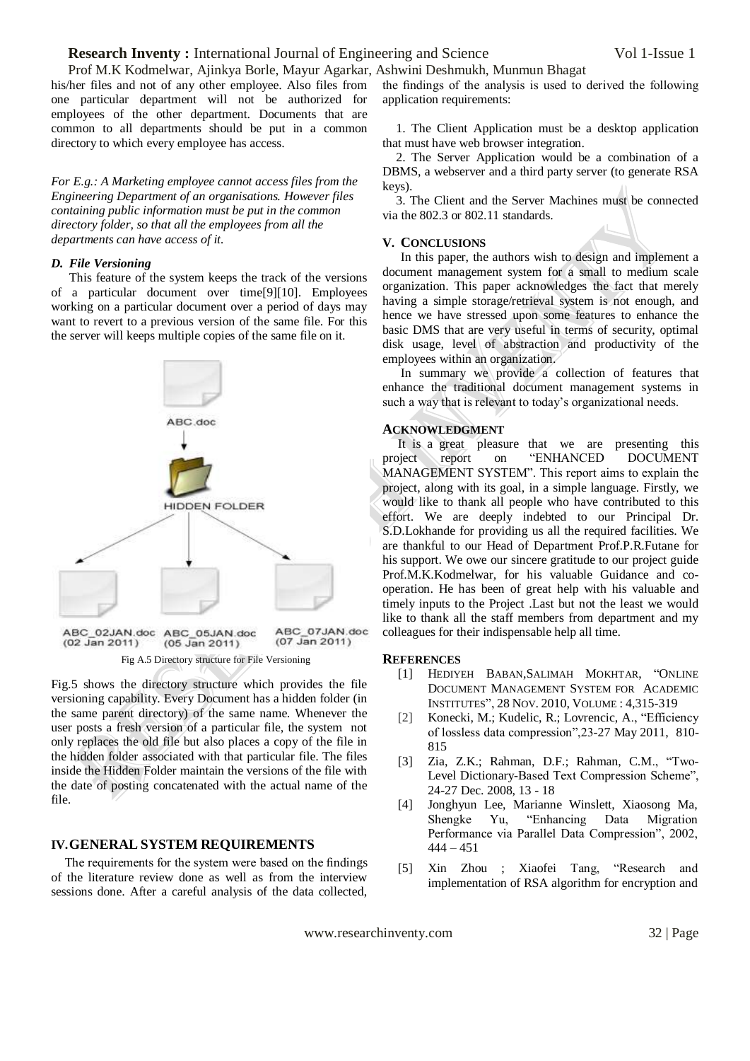Prof M.K Kodmelwar, Ajinkya Borle, Mayur Agarkar, Ashwini Deshmukh, Munmun Bhagat his/her files and not of any other employee. Also files from one particular department will not be authorized for employees of the other department. Documents that are common to all departments should be put in a common directory to which every employee has access.

*For E.g.: A Marketing employee cannot access files from the Engineering Department of an organisations. However files containing public information must be put in the common directory folder, so that all the employees from all the departments can have access of it.*

### *D. File Versioning*

This feature of the system keeps the track of the versions of a particular document over time[9][10]. Employees working on a particular document over a period of days may want to revert to a previous version of the same file. For this the server will keeps multiple copies of the same file on it.



Fig.5 shows the directory structure which provides the file versioning capability. Every Document has a hidden folder (in the same parent directory) of the same name. Whenever the user posts a fresh version of a particular file, the system not only replaces the old file but also places a copy of the file in the hidden folder associated with that particular file. The files inside the Hidden Folder maintain the versions of the file with the date of posting concatenated with the actual name of the file.

#### **IV.GENERAL SYSTEM REQUIREMENTS**

The requirements for the system were based on the findings of the literature review done as well as from the interview sessions done. After a careful analysis of the data collected, the findings of the analysis is used to derived the following application requirements:

1. The Client Application must be a desktop application that must have web browser integration.

2. The Server Application would be a combination of a DBMS, a webserver and a third party server (to generate RSA keys).

3. The Client and the Server Machines must be connected via the 802.3 or 802.11 standards.

#### **V. CONCLUSIONS**

In this paper, the authors wish to design and implement a document management system for a small to medium scale organization. This paper acknowledges the fact that merely having a simple storage/retrieval system is not enough, and hence we have stressed upon some features to enhance the basic DMS that are very useful in terms of security, optimal disk usage, level of abstraction and productivity of the employees within an organization.

In summary we provide a collection of features that enhance the traditional document management systems in such a way that is relevant to today's organizational needs.

#### **ACKNOWLEDGMENT**

 It is a great pleasure that we are presenting this project report on "ENHANCED DOCUMENT MANAGEMENT SYSTEM". This report aims to explain the project, along with its goal, in a simple language. Firstly, we would like to thank all people who have contributed to this effort. We are deeply indebted to our Principal Dr. S.D.Lokhande for providing us all the required facilities. We are thankful to our Head of Department Prof.P.R.Futane for his support. We owe our sincere gratitude to our project guide Prof.M.K.Kodmelwar, for his valuable Guidance and cooperation. He has been of great help with his valuable and timely inputs to the Project .Last but not the least we would like to thank all the staff members from department and my colleagues for their indispensable help all time.

#### **REFERENCES**

- [1] HEDIYEH BABAN, SALIMAH MOKHTAR, "ONLINE DOCUMENT MANAGEMENT SYSTEM FOR ACADEMIC INSTITUTES‖, 28 NOV. 2010, VOLUME : 4,315-319
- [2] Konecki, M.; Kudelic, R.; Lovrencic, A., "Efficiency" of lossless data compression", 23-27 May 2011, 810-815
- [3] Zia, Z.K.; Rahman, D.F.; Rahman, C.M., "Two-Level Dictionary-Based Text Compression Scheme", 24-27 Dec. 2008, 13 - 18
- [4] Jonghyun Lee, Marianne Winslett, Xiaosong Ma, Shengke Yu, "Enhancing Data Migration Performance via Parallel Data Compression", 2002,  $444 - 451$
- [5] Xin Zhou ; Xiaofei Tang, "Research and implementation of RSA algorithm for encryption and

www.researchinventy.com 32 | Page